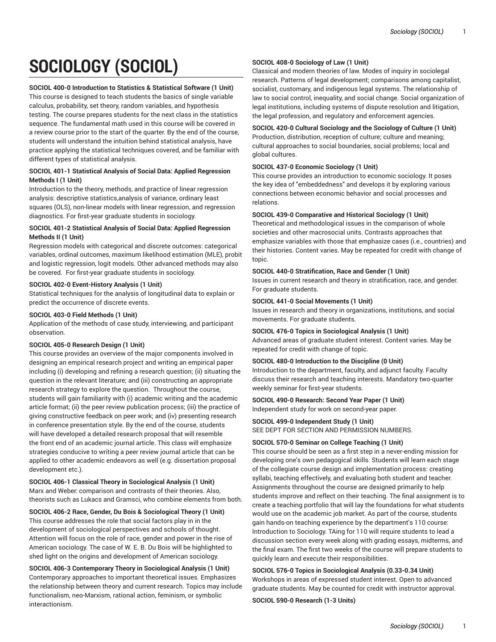# **SOCIOLOGY (SOCIOL)**

#### **SOCIOL 400-0 Introduction to Statistics & Statistical Software (1 Unit)**

This course is designed to teach students the basics of single variable calculus, probability, set theory, random variables, and hypothesis testing. The course prepares students for the next class in the statistics sequence. The fundamental math used in this course will be covered in a review course prior to the start of the quarter. By the end of the course, students will understand the intuition behind statistical analysis, have practice applying the statistical techniques covered, and be familiar with different types of statistical analysis.

#### **SOCIOL 401-1 Statistical Analysis of Social Data: Applied Regression Methods I (1 Unit)**

Introduction to the theory, methods, and practice of linear regression analysis: descriptive statistics,analysis of variance, ordinary least squares (OLS), non-linear models with linear regression, and regression diagnostics. For first-year graduate students in sociology.

# **SOCIOL 401-2 Statistical Analysis of Social Data: Applied Regression Methods II (1 Unit)**

Regression models with categorical and discrete outcomes: categorical variables, ordinal outcomes, maximum likelihood estimation (MLE), probit and logistic regression, logit models. Other advanced methods may also be covered. For first-year graduate students in sociology.

# **SOCIOL 402-0 Event-History Analysis (1 Unit)**

Statistical techniques for the analysis of longitudinal data to explain or predict the occurrence of discrete events.

#### **SOCIOL 403-0 Field Methods (1 Unit)**

Application of the methods of case study, interviewing, and participant observation.

# **SOCIOL 405-0 Research Design (1 Unit)**

This course provides an overview of the major components involved in designing an empirical research project and writing an empirical paper including (i) developing and refining a research question; (ii) situating the question in the relevant literature; and (iii) constructing an appropriate research strategy to explore the question. Throughout the course, students will gain familiarity with (i) academic writing and the academic article format; (ii) the peer review publication process; (iii) the practice of giving constructive feedback on peer work; and (iv) presenting research in conference presentation style. By the end of the course, students will have developed a detailed research proposal that will resemble the front end of an academic journal article. This class will emphasize strategies conducive to writing a peer review journal article that can be applied to other academic endeavors as well (e.g. dissertation proposal development etc.).

### **SOCIOL 406-1 Classical Theory in Sociological Analysis (1 Unit)** Marx and Weber: comparison and contrasts of their theories. Also, theorists such as Lukacs and Gramsci, who combine elements from both.

**SOCIOL 406-2 Race, Gender, Du Bois & Sociological Theory (1 Unit)** This course addresses the role that social factors play in in the development of sociological perspectives and schools of thought. Attention will focus on the role of race, gender and power in the rise of American sociology. The case of W. E. B. Du Bois will be highlighted to shed light on the origins and development of American sociology.

# **SOCIOL 406-3 Contemporary Theory in Sociological Analysis (1 Unit)**

Contemporary approaches to important theoretical issues. Emphasizes the relationship between theory and current research. Topics may include functionalism, neo-Marxism, rational action, feminism, or symbolic interactionism.

## **SOCIOL 408-0 Sociology of Law (1 Unit)**

Classical and modern theories of law. Modes of inquiry in sociolegal research. Patterns of legal development; comparisons among capitalist, socialist, customary, and indigenous legal systems. The relationship of law to social control, inequality, and social change. Social organization of legal institutions, including systems of dispute resolution and litigation, the legal profession, and regulatory and enforcement agencies.

## **SOCIOL 420-0 Cultural Sociology and the Sociology of Culture (1 Unit)**

Production, distribution, reception of culture; culture and meaning; cultural approaches to social boundaries, social problems; local and global cultures.

# **SOCIOL 437-0 Economic Sociology (1 Unit)**

This course provides an introduction to economic sociology. It poses the key idea of "embeddedness" and develops it by exploring various connections between economic behavior and social processes and relations.

#### **SOCIOL 439-0 Comparative and Historical Sociology (1 Unit)**

Theoretical and methodological issues in the comparison of whole societies and other macrosocial units. Contrasts approaches that emphasize variables with those that emphasize cases (i.e., countries) and their histories. Content varies. May be repeated for credit with change of topic.

#### **SOCIOL 440-0 Stratification, Race and Gender (1 Unit)**

Issues in current research and theory in stratification, race, and gender. For graduate students.

#### **SOCIOL 441-0 Social Movements (1 Unit)**

Issues in research and theory in organizations, institutions, and social movements. For graduate students.

# **SOCIOL 476-0 Topics in Sociological Analysis (1 Unit)**

Advanced areas of graduate student interest. Content varies. May be repeated for credit with change of topic.

#### **SOCIOL 480-0 Introduction to the Discipline (0 Unit)**

Introduction to the department, faculty, and adjunct faculty. Faculty discuss their research and teaching interests. Mandatory two-quarter weekly seminar for first-year students.

## **SOCIOL 490-0 Research: Second Year Paper (1 Unit)**

Independent study for work on second-year paper.

## **SOCIOL 499-0 Independent Study (1 Unit)**

SEE DEPT FOR SECTION AND PERMISSION NUMBERS.

# **SOCIOL 570-0 Seminar on College Teaching (1 Unit)**

This course should be seen as a first step in a never-ending mission for developing one's own pedagogical skills. Students will learn each stage of the collegiate course design and implementation process: creating syllabi, teaching effectively, and evaluating both student and teacher. Assignments throughout the course are designed primarily to help students improve and reflect on their teaching. The final assignment is to create a teaching portfolio that will lay the foundations for what students would use on the academic job market. As part of the course, students gain hands-on teaching experience by the department's 110 course: Introduction to Sociology. TAing for 110 will require students to lead a discussion section every week along with grading essays, midterms, and the final exam. The first two weeks of the course will prepare students to quickly learn and execute their responsibilities.

# **SOCIOL 576-0 Topics in Sociological Analysis (0.33-0.34 Unit)**

Workshops in areas of expressed student interest. Open to advanced graduate students. May be counted for credit with instructor approval.

**SOCIOL 590-0 Research (1-3 Units)**